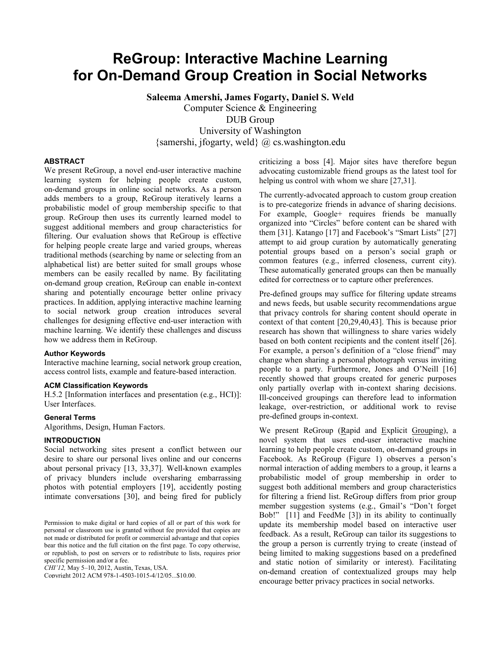# **ReGroup: Interactive Machine Learning for On-Demand Group Creation in Social Networks**

**Saleema Amershi, James Fogarty, Daniel S. Weld**  Computer Science & Engineering DUB Group University of Washington {samershi, jfogarty, weld} @ cs.washington.edu

#### **ABSTRACT**

We present ReGroup, a novel end-user interactive machine learning system for helping people create custom, on-demand groups in online social networks. As a person adds members to a group, ReGroup iteratively learns a probabilistic model of group membership specific to that group. ReGroup then uses its currently learned model to suggest additional members and group characteristics for filtering. Our evaluation shows that ReGroup is effective for helping people create large and varied groups, whereas traditional methods (searching by name or selecting from an alphabetical list) are better suited for small groups whose members can be easily recalled by name. By facilitating on-demand group creation, ReGroup can enable in-context sharing and potentially encourage better online privacy practices. In addition, applying interactive machine learning to social network group creation introduces several challenges for designing effective end-user interaction with machine learning. We identify these challenges and discuss how we address them in ReGroup.

#### **Author Keywords**

Interactive machine learning, social network group creation, access control lists, example and feature-based interaction.

#### **ACM Classification Keywords**

H.5.2 [Information interfaces and presentation (e.g., HCI)]: User Interfaces.

## **General Terms**

Algorithms, Design, Human Factors.

## **INTRODUCTION**

Social networking sites present a conflict between our desire to share our personal lives online and our concerns about personal privacy [13, 33,37]. Well-known examples of privacy blunders include oversharing embarrassing photos with potential employers [19], accidently posting intimate conversations [30], and being fired for publicly

*CHI'12,* May 5–10, 2012, Austin, Texas, USA.

Copyright 2012 ACM 978-1-4503-1015-4/12/05...\$10.00.

criticizing a boss [4]. Major sites have therefore begun advocating customizable friend groups as the latest tool for helping us control with whom we share [27,31].

The currently-advocated approach to custom group creation is to pre-categorize friends in advance of sharing decisions. For example, Google+ requires friends be manually organized into "Circles" before content can be shared with them [31]. Katango [17] and Facebook's "Smart Lists" [27] attempt to aid group curation by automatically generating potential groups based on a person's social graph or common features (e.g., inferred closeness, current city). These automatically generated groups can then be manually edited for correctness or to capture other preferences.

Pre-defined groups may suffice for filtering update streams and news feeds, but usable security recommendations argue that privacy controls for sharing content should operate in context of that content [20,29,40,43]. This is because prior research has shown that willingness to share varies widely based on both content recipients and the content itself [26]. For example, a person's definition of a "close friend" may change when sharing a personal photograph versus inviting people to a party. Furthermore, Jones and O'Neill [16] recently showed that groups created for generic purposes only partially overlap with in-context sharing decisions. Ill-conceived groupings can therefore lead to information leakage, over-restriction, or additional work to revise pre-defined groups in-context.

We present ReGroup  $(Rapid$  and Explicit Grouping), a novel system that uses end-user interactive machine learning to help people create custom, on-demand groups in Facebook. As ReGroup (Figure 1) observes a person's normal interaction of adding members to a group, it learns a probabilistic model of group membership in order to suggest both additional members and group characteristics for filtering a friend list. ReGroup differs from prior group member suggestion systems (e.g., Gmail's "Don't forget Bob!" [11] and FeedMe [3]) in its ability to continually update its membership model based on interactive user feedback. As a result, ReGroup can tailor its suggestions to the group a person is currently trying to create (instead of being limited to making suggestions based on a predefined and static notion of similarity or interest). Facilitating on-demand creation of contextualized groups may help encourage better privacy practices in social networks.

Permission to make digital or hard copies of all or part of this work for personal or classroom use is granted without fee provided that copies are not made or distributed for profit or commercial advantage and that copies bear this notice and the full citation on the first page. To copy otherwise, or republish, to post on servers or to redistribute to lists, requires prior specific permission and/or a fee.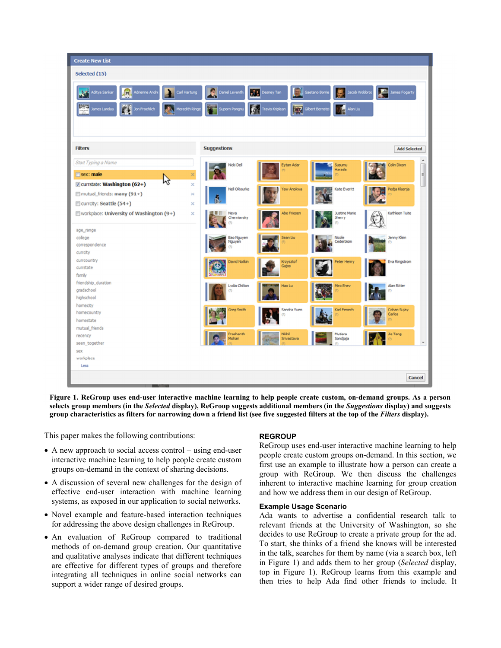| <b>Create New List</b>                                                                                                                    |                                                                                                                                                                                    |                     |
|-------------------------------------------------------------------------------------------------------------------------------------------|------------------------------------------------------------------------------------------------------------------------------------------------------------------------------------|---------------------|
| Selected (15)                                                                                                                             |                                                                                                                                                                                    |                     |
| न्नि<br>Carl Hartung<br><b>Aditya Sankar</b><br><b>Adrienne Andre</b><br>N<br>醫<br>r f<br>Jon Froehlich<br>James Landay<br>Meredith Ringe | e<br>lets.<br>Daniel Leventh<br>Jacob Wobbroc<br>James Fogarty<br>Desney Tan<br>Gaetano Borrie<br>М<br>厦<br><b>Travis Kriplean</b><br>Alan Liu<br>Suporn Pongnu<br>Gibert Bernstei |                     |
| <b>Filters</b>                                                                                                                            | <b>Suggestions</b>                                                                                                                                                                 | <b>Add Selected</b> |
| Start Typing a Name<br>sex: male<br>$\times$<br>ક્રિ                                                                                      | Nicki Dell<br>Colin Dixon<br>Eytan Adar<br>Susumu<br>Harada                                                                                                                        | ۰<br>E              |
| Currstate: Washington (62+)<br>$\times$<br>mutual_friends: many (91+)<br>×<br>Currcity: Seattle (54+)<br>$\times$                         | Nell ORourke<br>Pedja Klasnja<br>Yaw Anokwa<br>Kate Everitt<br>Å                                                                                                                   |                     |
| $\Box$ workplace: University of Washington (9+)<br>$\times$<br>age_range                                                                  | Kathleen Tuite<br>Neva<br>Abe Friesen<br><b>Justine Marie</b><br>Chemiavsky<br>Sherry<br>$\omega$<br>$\sigma$                                                                      |                     |
| college<br>correspondence<br>currcity                                                                                                     | <b>Bao Nguyen</b><br>Nicole<br>Jenny Klein<br>Sean Liu<br>Nguyen<br>Cederblom<br>$\mathcal{O}$                                                                                     |                     |
| currcountry<br>currstate<br>family<br>friendship_duration                                                                                 | David Notkin<br>Krzysztof<br>Peter Henry<br>Eva Ringstrom<br>Œ<br>Gajos                                                                                                            |                     |
| gradschool<br>highschool<br>homecity                                                                                                      | Lydia Chilton<br>Miro Enev<br>Alan Ritter<br>Hao Lu<br>И.<br>$\omega$<br>$\mathcal{O}$                                                                                             |                     |
| homecountry<br>homestate<br>mutual_friends                                                                                                | Karl Fenech<br>Cohan Sujay<br>Greg Smith<br>Sandra Yuen<br>Carlos<br>$\sigma$                                                                                                      |                     |
| recency<br>seen_together<br>sex<br>workplace                                                                                              | Nikhil<br>Prashanth<br>Mutiara<br>Jie Tang<br>LAN.<br>اھ<br>Sondjaja<br>Mohan<br>Srivastava<br>$\circ$<br>w.                                                                       | $\;$                |
| Less                                                                                                                                      |                                                                                                                                                                                    |                     |
|                                                                                                                                           |                                                                                                                                                                                    | Cancel              |

**Figure 1. ReGroup uses end-user interactive machine learning to help people create custom, on-demand groups. As a person selects group members (in the** *Selected* **display), ReGroup suggests additional members (in the** *Suggestions* **display) and suggests group characteristics as filters for narrowing down a friend list (see five suggested filters at the top of the** *Filters* **display).** 

This paper makes the following contributions:

- A new approach to social access control using end-user interactive machine learning to help people create custom groups on-demand in the context of sharing decisions.
- A discussion of several new challenges for the design of effective end-user interaction with machine learning systems, as exposed in our application to social networks.
- Novel example and feature-based interaction techniques for addressing the above design challenges in ReGroup.
- An evaluation of ReGroup compared to traditional methods of on-demand group creation. Our quantitative and qualitative analyses indicate that different techniques are effective for different types of groups and therefore integrating all techniques in online social networks can support a wider range of desired groups.

## **REGROUP**

ReGroup uses end-user interactive machine learning to help people create custom groups on-demand. In this section, we first use an example to illustrate how a person can create a group with ReGroup. We then discuss the challenges inherent to interactive machine learning for group creation and how we address them in our design of ReGroup.

#### **Example Usage Scenario**

Ada wants to advertise a confidential research talk to relevant friends at the University of Washington, so she decides to use ReGroup to create a private group for the ad. To start, she thinks of a friend she knows will be interested in the talk, searches for them by name (via a search box, left in Figure 1) and adds them to her group (*Selected* display, top in Figure 1). ReGroup learns from this example and then tries to help Ada find other friends to include. It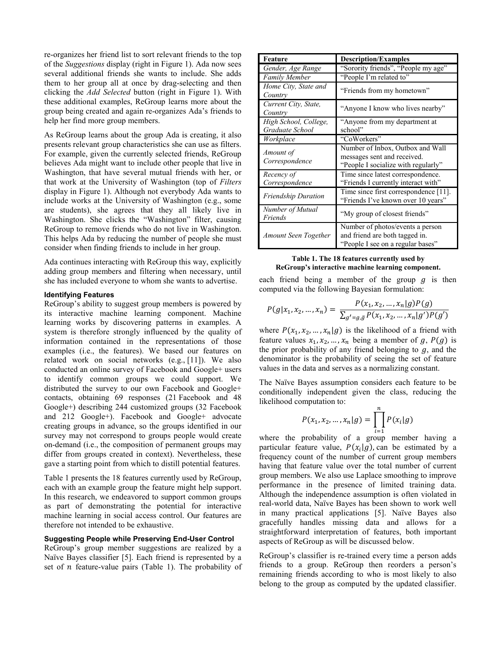re-organizes her friend list to sort relevant friends to the top of the *Suggestions* display (right in Figure 1). Ada now sees several additional friends she wants to include. She adds them to her group all at once by drag-selecting and then clicking the *Add Selected* button (right in Figure 1). With these additional examples, ReGroup learns more about the group being created and again re-organizes Ada's friends to help her find more group members.

As ReGroup learns about the group Ada is creating, it also presents relevant group characteristics she can use as filters. For example, given the currently selected friends, ReGroup believes Ada might want to include other people that live in Washington, that have several mutual friends with her, or that work at the University of Washington (top of *Filters* display in Figure 1). Although not everybody Ada wants to include works at the University of Washington (e.g., some are students), she agrees that they all likely live in Washington. She clicks the "Washington" filter, causing ReGroup to remove friends who do not live in Washington. This helps Ada by reducing the number of people she must consider when finding friends to include in her group.

Ada continues interacting with ReGroup this way, explicitly adding group members and filtering when necessary, until she has included everyone to whom she wants to advertise.

## **Identifying Features**

ReGroup's ability to suggest group members is powered by its interactive machine learning component. Machine learning works by discovering patterns in examples. A system is therefore strongly influenced by the quality of information contained in the representations of those examples (i.e., the features). We based our features on related work on social networks (e.g., [11]). We also conducted an online survey of Facebook and Google+ users to identify common groups we could support. We distributed the survey to our own Facebook and Google+ contacts, obtaining 69 responses (21 Facebook and 48 Google+) describing 244 customized groups (32 Facebook and 212 Google+). Facebook and Google+ advocate creating groups in advance, so the groups identified in our survey may not correspond to groups people would create on-demand (i.e., the composition of permanent groups may differ from groups created in context). Nevertheless, these gave a starting point from which to distill potential features.

Table 1 presents the 18 features currently used by ReGroup, each with an example group the feature might help support. In this research, we endeavored to support common groups as part of demonstrating the potential for interactive machine learning in social access control. Our features are therefore not intended to be exhaustive.

#### **Suggesting People while Preserving End-User Control**

ReGroup's group member suggestions are realized by a Naïve Bayes classifier [5]. Each friend is represented by a set of  $n$  feature-value pairs (Table 1). The probability of

| Feature                                  | <b>Description/Examples</b>                                                                             |  |  |
|------------------------------------------|---------------------------------------------------------------------------------------------------------|--|--|
| Gender, Age Range                        | "Sorority friends", "People my age"                                                                     |  |  |
| <b>Family Member</b>                     | "People I'm related to"                                                                                 |  |  |
| Home City, State and<br>Country          | "Friends from my hometown"                                                                              |  |  |
| Current City, State,<br>Country          | "Anyone I know who lives nearby"                                                                        |  |  |
| High School, College,<br>Graduate School | "Anyone from my department at<br>school"                                                                |  |  |
| Workplace                                | "CoWorkers"                                                                                             |  |  |
| Amount of<br>Correspondence              | Number of Inbox, Outbox and Wall<br>messages sent and received.<br>"People I socialize with regularly"  |  |  |
| Recency of<br>Correspondence             | Time since latest correspondence.<br>"Friends I currently interact with"                                |  |  |
| <b>Friendship Duration</b>               | Time since first correspondence [11].<br>"Friends I've known over 10 years"                             |  |  |
| Number of Mutual<br>Friends              | "My group of closest friends"                                                                           |  |  |
| Amount Seen Together                     | Number of photos/events a person<br>and friend are both tagged in.<br>"People I see on a regular bases" |  |  |

#### **Table 1. The 18 features currently used by ReGroup's interactive machine learning component.**

each friend being a member of the group  $g$  is then computed via the following Bayesian formulation:

$$
P(g|x_1, x_2, ..., x_n) = \frac{P(x_1, x_2, ..., x_n|g)P(g)}{\sum_{g'=g,\bar{g}} P(x_1, x_2, ..., x_n|g')P(g')}
$$

where  $P(x_1, x_2, ..., x_n | g)$  is the likelihood of a friend with feature values  $x_1, x_2, ..., x_n$  being a member of g,  $P(g)$  is the prior probability of any friend belonging to  $g$ , and the denominator is the probability of seeing the set of feature values in the data and serves as a normalizing constant.

The Naïve Bayes assumption considers each feature to be conditionally independent given the class, reducing the likelihood computation to:

$$
P(x_1, x_2, ..., x_n | g) = \prod_{i=1}^n P(x_i | g)
$$

where the probability of a group member having a particular feature value,  $P(x_i|g)$ , can be estimated by a frequency count of the number of current group members having that feature value over the total number of current group members. We also use Laplace smoothing to improve performance in the presence of limited training data. Although the independence assumption is often violated in real-world data, Naïve Bayes has been shown to work well in many practical applications [5]. Naïve Bayes also gracefully handles missing data and allows for a straightforward interpretation of features, both important aspects of ReGroup as will be discussed below.

ReGroup's classifier is re-trained every time a person adds friends to a group. ReGroup then reorders a person's remaining friends according to who is most likely to also belong to the group as computed by the updated classifier.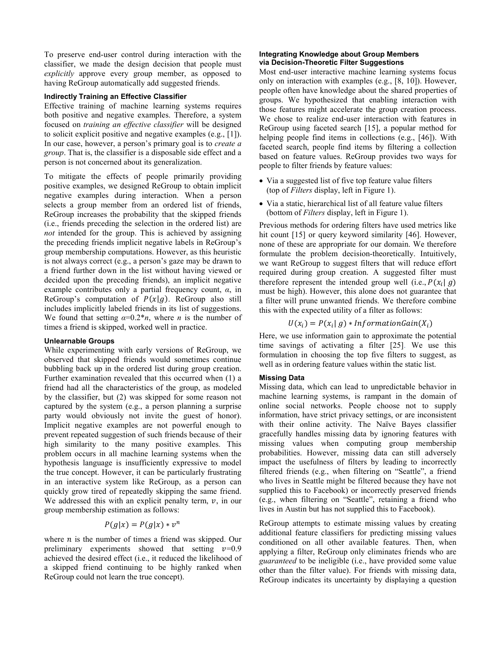To preserve end-user control during interaction with the classifier, we made the design decision that people must *explicitly* approve every group member, as opposed to having ReGroup automatically add suggested friends.

#### **Indirectly Training an Effective Classifier**

Effective training of machine learning systems requires both positive and negative examples. Therefore, a system focused on *training an effective classifier* will be designed to solicit explicit positive and negative examples (e.g., [1]). In our case, however, a person's primary goal is to *create a group*. That is, the classifier is a disposable side effect and a person is not concerned about its generalization.

To mitigate the effects of people primarily providing positive examples, we designed ReGroup to obtain implicit negative examples during interaction. When a person selects a group member from an ordered list of friends, ReGroup increases the probability that the skipped friends (i.e., friends preceding the selection in the ordered list) are *not* intended for the group. This is achieved by assigning the preceding friends implicit negative labels in ReGroup's group membership computations. However, as this heuristic is not always correct (e.g., a person's gaze may be drawn to a friend further down in the list without having viewed or decided upon the preceding friends), an implicit negative example contributes only a partial frequency count, *α*, in ReGroup's computation of  $P(x|g)$ . ReGroup also still includes implicitly labeled friends in its list of suggestions. We found that setting  $\alpha=0.2^*n$ , where *n* is the number of times a friend is skipped, worked well in practice.

## **Unlearnable Groups**

While experimenting with early versions of ReGroup, we observed that skipped friends would sometimes continue bubbling back up in the ordered list during group creation. Further examination revealed that this occurred when (1) a friend had all the characteristics of the group, as modeled by the classifier, but (2) was skipped for some reason not captured by the system (e.g., a person planning a surprise party would obviously not invite the guest of honor). Implicit negative examples are not powerful enough to prevent repeated suggestion of such friends because of their high similarity to the many positive examples. This problem occurs in all machine learning systems when the hypothesis language is insufficiently expressive to model the true concept. However, it can be particularly frustrating in an interactive system like ReGroup, as a person can quickly grow tired of repeatedly skipping the same friend. We addressed this with an explicit penalty term,  $\nu$ , in our group membership estimation as follows:

$$
P(g|x) = P(g|x) * v^n
$$

where  $n$  is the number of times a friend was skipped. Our preliminary experiments showed that setting  $v=0.9$ achieved the desired effect (i.e., it reduced the likelihood of a skipped friend continuing to be highly ranked when ReGroup could not learn the true concept).

## **Integrating Knowledge about Group Members via Decision-Theoretic Filter Suggestions**

Most end-user interactive machine learning systems focus only on interaction with examples (e.g., [8, 10]). However, people often have knowledge about the shared properties of groups. We hypothesized that enabling interaction with those features might accelerate the group creation process. We chose to realize end-user interaction with features in ReGroup using faceted search [15], a popular method for helping people find items in collections (e.g., [46]). With faceted search, people find items by filtering a collection based on feature values. ReGroup provides two ways for people to filter friends by feature values:

- Via a suggested list of five top feature value filters (top of *Filters* display, left in Figure 1).
- Via a static, hierarchical list of all feature value filters (bottom of *Filters* display, left in Figure 1).

Previous methods for ordering filters have used metrics like hit count [15] or query keyword similarity [46]. However, none of these are appropriate for our domain. We therefore formulate the problem decision-theoretically. Intuitively, we want ReGroup to suggest filters that will reduce effort required during group creation. A suggested filter must therefore represent the intended group well (i.e.,  $P(x_i | g)$ ) must be high). However, this alone does not guarantee that a filter will prune unwanted friends. We therefore combine this with the expected utility of a filter as follows:

$$
U(x_i) = P(x_i | g) * InformationGain(X_i)
$$

Here, we use information gain to approximate the potential time savings of activating a filter [25]. We use this formulation in choosing the top five filters to suggest, as well as in ordering feature values within the static list.

## **Missing Data**

Missing data, which can lead to unpredictable behavior in machine learning systems, is rampant in the domain of online social networks. People choose not to supply information, have strict privacy settings, or are inconsistent with their online activity. The Naïve Bayes classifier gracefully handles missing data by ignoring features with missing values when computing group membership probabilities. However, missing data can still adversely impact the usefulness of filters by leading to incorrectly filtered friends (e.g., when filtering on "Seattle", a friend who lives in Seattle might be filtered because they have not supplied this to Facebook) or incorrectly preserved friends (e.g., when filtering on "Seattle", retaining a friend who lives in Austin but has not supplied this to Facebook).

ReGroup attempts to estimate missing values by creating additional feature classifiers for predicting missing values conditioned on all other available features. Then, when applying a filter, ReGroup only eliminates friends who are *guaranteed* to be ineligible (i.e., have provided some value other than the filter value). For friends with missing data, ReGroup indicates its uncertainty by displaying a question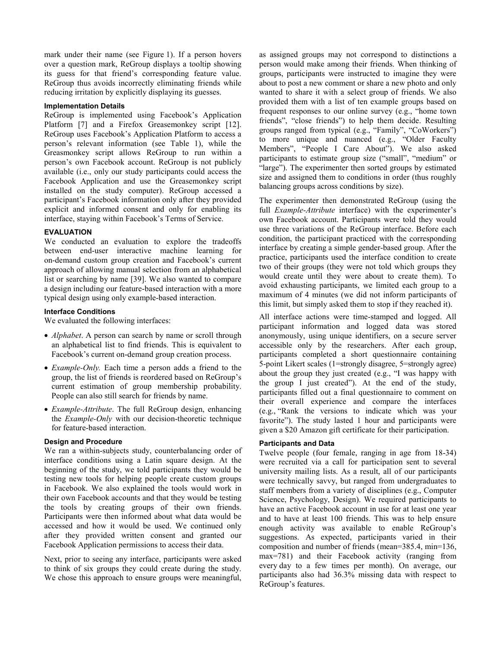mark under their name (see Figure 1). If a person hovers over a question mark, ReGroup displays a tooltip showing its guess for that friend's corresponding feature value. ReGroup thus avoids incorrectly eliminating friends while reducing irritation by explicitly displaying its guesses.

## **Implementation Details**

ReGroup is implemented using Facebook's Application Platform [7] and a Firefox Greasemonkey script [12]. ReGroup uses Facebook's Application Platform to access a person's relevant information (see Table 1), while the Greasmonkey script allows ReGroup to run within a person's own Facebook account. ReGroup is not publicly available (i.e., only our study participants could access the Facebook Application and use the Greasemonkey script installed on the study computer). ReGroup accessed a participant's Facebook information only after they provided explicit and informed consent and only for enabling its interface, staying within Facebook's Terms of Service.

#### **EVALUATION**

We conducted an evaluation to explore the tradeoffs between end-user interactive machine learning for on-demand custom group creation and Facebook's current approach of allowing manual selection from an alphabetical list or searching by name [39]. We also wanted to compare a design including our feature-based interaction with a more typical design using only example-based interaction.

## **Interface Conditions**

We evaluated the following interfaces:

- *Alphabet*. A person can search by name or scroll through an alphabetical list to find friends. This is equivalent to Facebook's current on-demand group creation process.
- *Example-Only.* Each time a person adds a friend to the group, the list of friends is reordered based on ReGroup's current estimation of group membership probability. People can also still search for friends by name.
- *Example-Attribute*. The full ReGroup design, enhancing the *Example-Only* with our decision-theoretic technique for feature-based interaction.

## **Design and Procedure**

We ran a within-subjects study, counterbalancing order of interface conditions using a Latin square design. At the beginning of the study, we told participants they would be testing new tools for helping people create custom groups in Facebook. We also explained the tools would work in their own Facebook accounts and that they would be testing the tools by creating groups of their own friends. Participants were then informed about what data would be accessed and how it would be used. We continued only after they provided written consent and granted our Facebook Application permissions to access their data.

Next, prior to seeing any interface, participants were asked to think of six groups they could create during the study. We chose this approach to ensure groups were meaningful, as assigned groups may not correspond to distinctions a person would make among their friends. When thinking of groups, participants were instructed to imagine they were about to post a new comment or share a new photo and only wanted to share it with a select group of friends. We also provided them with a list of ten example groups based on frequent responses to our online survey (e.g., "home town friends", "close friends") to help them decide. Resulting groups ranged from typical (e.g., "Family", "CoWorkers") to more unique and nuanced (e.g., "Older Faculty Members", "People I Care About"). We also asked participants to estimate group size ("small", "medium" or "large"). The experimenter then sorted groups by estimated size and assigned them to conditions in order (thus roughly balancing groups across conditions by size).

The experimenter then demonstrated ReGroup (using the full *Example-Attribute* interface) with the experimenter's own Facebook account. Participants were told they would use three variations of the ReGroup interface. Before each condition, the participant practiced with the corresponding interface by creating a simple gender-based group. After the practice, participants used the interface condition to create two of their groups (they were not told which groups they would create until they were about to create them). To avoid exhausting participants, we limited each group to a maximum of 4 minutes (we did not inform participants of this limit, but simply asked them to stop if they reached it).

All interface actions were time-stamped and logged. All participant information and logged data was stored anonymously, using unique identifiers, on a secure server accessible only by the researchers. After each group, participants completed a short questionnaire containing 5-point Likert scales (1=strongly disagree, 5=strongly agree) about the group they just created (e.g., "I was happy with the group I just created"). At the end of the study, participants filled out a final questionnaire to comment on their overall experience and compare the interfaces (e.g., "Rank the versions to indicate which was your favorite"). The study lasted 1 hour and participants were given a \$20 Amazon gift certificate for their participation.

## **Participants and Data**

Twelve people (four female, ranging in age from 18-34) were recruited via a call for participation sent to several university mailing lists. As a result, all of our participants were technically savvy, but ranged from undergraduates to staff members from a variety of disciplines (e.g., Computer Science, Psychology, Design). We required participants to have an active Facebook account in use for at least one year and to have at least 100 friends. This was to help ensure enough activity was available to enable ReGroup's suggestions. As expected, participants varied in their composition and number of friends (mean=385.4, min=136, max=781) and their Facebook activity (ranging from every day to a few times per month). On average, our participants also had 36.3% missing data with respect to ReGroup's features.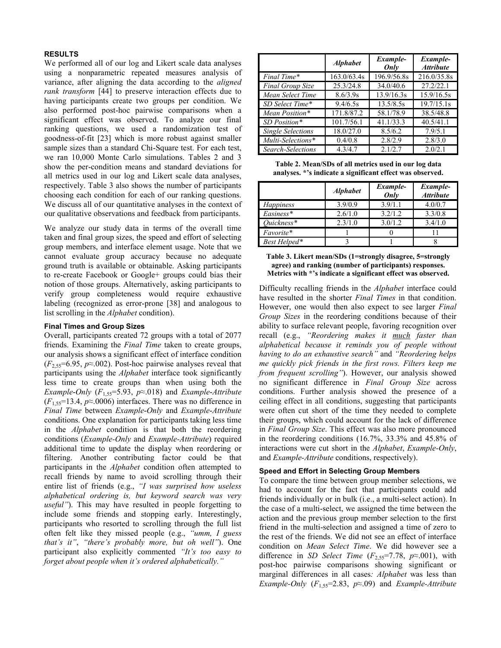#### **RESULTS**

We performed all of our log and Likert scale data analyses using a nonparametric repeated measures analysis of variance, after aligning the data according to the *aligned rank transform* [44] to preserve interaction effects due to having participants create two groups per condition. We also performed post-hoc pairwise comparisons when a significant effect was observed. To analyze our final ranking questions, we used a randomization test of goodness-of-fit [23] which is more robust against smaller sample sizes than a standard Chi-Square test. For each test, we ran 10,000 Monte Carlo simulations. Tables 2 and 3 show the per-condition means and standard deviations for all metrics used in our log and Likert scale data analyses, respectively. Table 3 also shows the number of participants choosing each condition for each of our ranking questions. We discuss all of our quantitative analyses in the context of our qualitative observations and feedback from participants.

We analyze our study data in terms of the overall time taken and final group sizes, the speed and effort of selecting group members, and interface element usage. Note that we cannot evaluate group accuracy because no adequate ground truth is available or obtainable. Asking participants to re-create Facebook or Google+ groups could bias their notion of those groups. Alternatively, asking participants to verify group completeness would require exhaustive labeling (recognized as error-prone [38] and analogous to list scrolling in the *Alphabet* condition).

## **Final Times and Group Sizes**

Overall, participants created 72 groups with a total of 2077 friends. Examining the *Final Time* taken to create groups, our analysis shows a significant effect of interface condition  $(F_{2,55}=6.95, p \approx 0.002)$ . Post-hoc pairwise analyses reveal that participants using the *Alphabet* interface took significantly less time to create groups than when using both the *Example-Only*  $(F_{1.55} = 5.93, p \approx 0.018)$  and *Example-Attribute*  $(F_{1.55}=13.4, p \approx 0.0006)$  interfaces. There was no difference in *Final Time* between *Example*-*Only* and *Example*-*Attribute*  conditions. One explanation for participants taking less time in the *Alphabet* condition is that both the reordering conditions (*Example-Only* and *Example-Attribute*) required additional time to update the display when reordering or filtering. Another contributing factor could be that participants in the *Alphabet* condition often attempted to recall friends by name to avoid scrolling through their entire list of friends (e.g., *"I was surprised how useless alphabetical ordering is, but keyword search was very useful*"). This may have resulted in people forgetting to include some friends and stopping early. Interestingly, participants who resorted to scrolling through the full list often felt like they missed people (e.g., *"umm, I guess that's it"*, *"there's probably more, but oh well"*). One participant also explicitly commented *"It's too easy to forget about people when it's ordered alphabetically."* 

|                          | <b>Alphabet</b> | Example-<br>Only | Example-<br><b>Attribute</b> |
|--------------------------|-----------------|------------------|------------------------------|
| Final Time*              | 163.0/63.4s     | 196.9/56.8s      | 216.0/35.8s                  |
| <b>Final Group Size</b>  | 25.3/24.8       | 34.0/40.6        | 27.2/22.1                    |
| Mean Select Time         | 8.6/3.9s        | 13.9/16.3s       | 15.9/16.5s                   |
| SD Select Time*          | 9.4/6.5s        | 13.5/8.5s        | 19.7/15.1s                   |
| Mean Position*           | 171.8/87.2      | 58.1/78.9        | 38.5/48.8                    |
| SD Position*             | 101.7/56.1      | 41.1/33.3        | 40.5/41.1                    |
| <b>Single Selections</b> | 18.0/27.0       | 8.5/6.2          | 7.9/5.1                      |
| Multi-Selections*        | 0.4/0.8         | 2.8/2.9          | 2.8/3.0                      |
| Search-Selections        | 4.3/4.7         | 2.1/2.7          | 2.0/2.1                      |

| Table 2. Mean/SDs of all metrics used in our log data     |
|-----------------------------------------------------------|
| analyses. *'s indicate a significant effect was observed. |

|              | <b>Alphabet</b> | Example-<br>Only | Example-<br><b>Attribute</b> |
|--------------|-----------------|------------------|------------------------------|
| Happiness    | 3.9/0.9         | 3.9/1.1          | 4.0/0.7                      |
| Easiness*    | 2.6/1.0         | 3.2/1.2          | 3.3/0.8                      |
| Quickness*   | 2.3/1.0         | 3.0/1.2          | 3.4/1.0                      |
| Favorite*    |                 |                  |                              |
| Best Helped* |                 |                  |                              |

**Table 3. Likert mean/SDs (1=strongly disagree, 5=strongly agree) and ranking (number of participants) responses. Metrics with \*'s indicate a significant effect was observed.** 

Difficulty recalling friends in the *Alphabet* interface could have resulted in the shorter *Final Times* in that condition. However, one would then also expect to see larger *Final Group Sizes* in the reordering conditions because of their ability to surface relevant people, favoring recognition over recall (e.g., *"Reordering makes it much faster than alphabetical because it reminds you of people without having to do an exhaustive search"* and *"Reordering helps me quickly pick friends in the first rows. Filters keep me from frequent scrolling"*). However, our analysis showed no significant difference in *Final Group Size* across conditions. Further analysis showed the presence of a ceiling effect in all conditions, suggesting that participants were often cut short of the time they needed to complete their groups, which could account for the lack of difference in *Final Group Size*. This effect was also more pronounced in the reordering conditions (16.7%, 33.3% and 45.8% of interactions were cut short in the *Alphabet*, *Example-Only*, and *Example-Attribute* conditions, respectively).

## **Speed and Effort in Selecting Group Members**

To compare the time between group member selections, we had to account for the fact that participants could add friends individually or in bulk (i.e., a multi-select action). In the case of a multi-select, we assigned the time between the action and the previous group member selection to the first friend in the multi-selection and assigned a time of zero to the rest of the friends. We did not see an effect of interface condition on *Mean Select Time*. We did however see a difference in *SD Select Time* ( $F_{2.55}$ =7.78,  $p \approx 0.001$ ), with post-hoc pairwise comparisons showing significant or marginal differences in all cases*: Alphabet* was less than *Example-Only* (*F*1,55=2.83, *p*≈.09) and *Example-Attribute*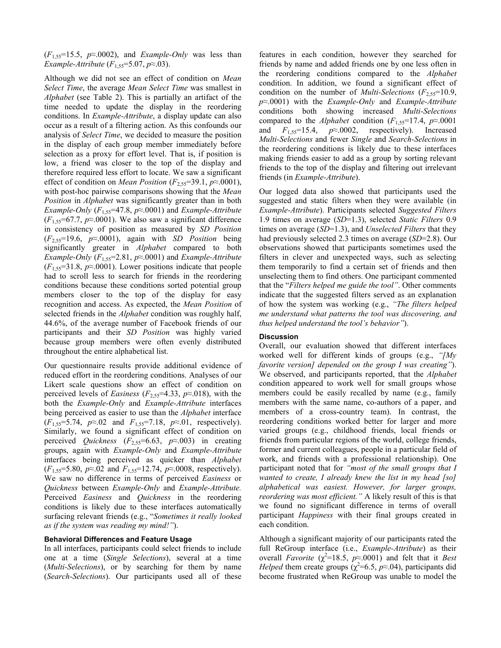$(F_{1,55}=15.5, p \approx 0.002)$ , and *Example-Only* was less than *Example-Attribute*  $(F_1, 55=5.07, p \approx 0.03)$ .

Although we did not see an effect of condition on *Mean Select Time*, the average *Mean Select Time* was smallest in *Alphabet* (see Table 2). This is partially an artifact of the time needed to update the display in the reordering conditions. In *Example-Attribute*, a display update can also occur as a result of a filtering action. As this confounds our analysis of *Select Time*, we decided to measure the position in the display of each group member immediately before selection as a proxy for effort level. That is, if position is low, a friend was closer to the top of the display and therefore required less effort to locate. We saw a significant effect of condition on *Mean Position*  $(F_{2.55}=39.1, p \approx 0.001)$ , with post-hoc pairwise comparisons showing that the *Mean Position* in *Alphabet* was significantly greater than in both *Example-Only* (*F*1,55=47.8, *p*≈.0001) and *Example-Attribute*  $(F_{1.55} = 67.7, p \approx 0.001)$ . We also saw a significant difference in consistency of position as measured by *SD Position*  (*F*2,55=19.6, *p*≈.0001), again with *SD Position* being significantly greater in *Alphabet* compared to both *Example-Only* (*F*1,55=2.81, *p*≈.0001) and *Example-Attribute*  $(F_{1.55}=31.8, p \approx 0.001)$ . Lower positions indicate that people had to scroll less to search for friends in the reordering conditions because these conditions sorted potential group members closer to the top of the display for easy recognition and access. As expected, the *Mean Position* of selected friends in the *Alphabet* condition was roughly half, 44.6%, of the average number of Facebook friends of our participants and their *SD Position* was highly varied because group members were often evenly distributed throughout the entire alphabetical list.

Our questionnaire results provide additional evidence of reduced effort in the reordering conditions. Analyses of our Likert scale questions show an effect of condition on perceived levels of *Easiness* ( $F_{2,55}$ =4.33,  $p \approx 0.018$ ), with the both the *Example-Only* and *Example-Attribute* interfaces being perceived as easier to use than the *Alphabet* interface (*F*1,55=5.74, *p*≈.02 and *F*1,55=7.18, *p*≈.01, respectively). Similarly, we found a significant effect of condition on perceived *Quickness* (*F*2,55=6.63, *p*≈.003) in creating groups, again with *Example-Only* and *Example-Attribute*  interfaces being perceived as quicker than *Alphabet*  (*F*1,55=5.80, *p*≈.02 and *F*1,55=12.74, *p*≈.0008, respectively). We saw no difference in terms of perceived *Easiness* or *Quickness* between *Example-Only* and *Example-Attribute.* Perceived *Easiness* and *Quickness* in the reordering conditions is likely due to these interfaces automatically surfacing relevant friends (e.g., "*Sometimes it really looked as if the system was reading my mind!"*).

#### **Behavioral Differences and Feature Usage**

In all interfaces, participants could select friends to include one at a time (*Single Selections*), several at a time (*Multi-Selections*), or by searching for them by name (*Search-Selections*). Our participants used all of these

features in each condition, however they searched for friends by name and added friends one by one less often in the reordering conditions compared to the *Alphabet*  condition. In addition, we found a significant effect of condition on the number of *Multi-Selections*  $(F_{2,55}=10.9)$ , *p*≈.0001) with the *Example-Only* and *Example-Attribute*  conditions both showing increased *Multi-Selections*  compared to the *Alphabet* condition ( $F_{1.55}$ =17.4,  $p \approx 0.0001$ and  $F_{1,55}$ =15.4,  $p \approx 0.0002$ , respectively). Increased *Multi-Selections* and fewer *Single* and *Search-Selections* in the reordering conditions is likely due to these interfaces making friends easier to add as a group by sorting relevant friends to the top of the display and filtering out irrelevant friends (in *Example-Attribute*).

Our logged data also showed that participants used the suggested and static filters when they were available (in *Example-Attribute*). Participants selected *Suggested Filters* 1.9 times on average (*SD*=1.3), selected *Static Filters* 0.9 times on average (*SD*=1.3), and *Unselected Filters* that they had previously selected 2.3 times on average (*SD*=2.8). Our observations showed that participants sometimes used the filters in clever and unexpected ways, such as selecting them temporarily to find a certain set of friends and then unselecting them to find others. One participant commented that the "*Filters helped me guide the tool"*. Other comments indicate that the suggested filters served as an explanation of how the system was working (e.g., *"The filters helped me understand what patterns the tool was discovering, and thus helped understand the tool's behavior"*).

#### **Discussion**

Overall, our evaluation showed that different interfaces worked well for different kinds of groups (e.g., *"[My favorite version] depended on the group I was creating"*). We observed, and participants reported, that the *Alphabet* condition appeared to work well for small groups whose members could be easily recalled by name (e.g., family members with the same name, co-authors of a paper, and members of a cross-country team). In contrast, the reordering conditions worked better for larger and more varied groups (e.g., childhood friends, local friends or friends from particular regions of the world, college friends, former and current colleagues, people in a particular field of work, and friends with a professional relationship). One participant noted that for *"most of the small groups that I wanted to create, I already knew the list in my head [so] alphabetical was easiest. However, for larger groups, reordering was most efficient."* A likely result of this is that we found no significant difference in terms of overall participant *Happiness* with their final groups created in each condition.

Although a significant majority of our participants rated the full ReGroup interface (i.e., *Example-Attribute*) as their overall *Favorite*  $(\chi^2 = 18.5, p \approx 0.001)$  and felt that it *Best Helped* them create groups ( $\chi^2$ =6.5,  $p \approx 0.04$ ), participants did become frustrated when ReGroup was unable to model the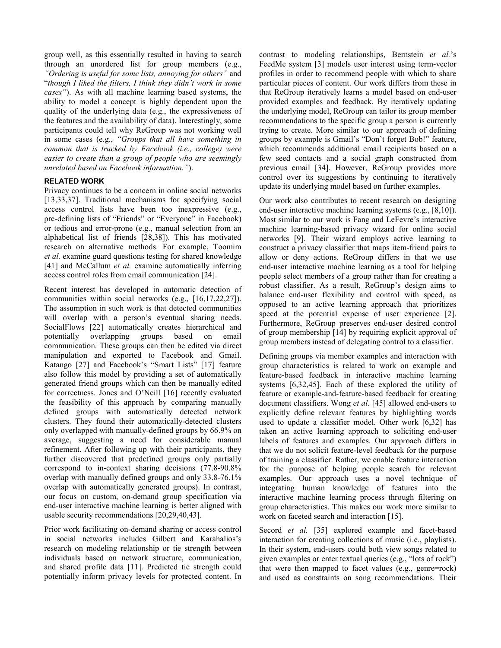group well, as this essentially resulted in having to search through an unordered list for group members (e.g., *"Ordering is useful for some lists, annoying for others"* and "*though I liked the filters, I think they didn't work in some cases"*). As with all machine learning based systems, the ability to model a concept is highly dependent upon the quality of the underlying data (e.g., the expressiveness of the features and the availability of data). Interestingly, some participants could tell why ReGroup was not working well in some cases (e.g., *"Groups that all have something in common that is tracked by Facebook (i.e., college) were easier to create than a group of people who are seemingly unrelated based on Facebook information."*).

## **RELATED WORK**

Privacy continues to be a concern in online social networks [13,33,37]. Traditional mechanisms for specifying social access control lists have been too inexpressive (e.g., pre-defining lists of "Friends" or "Everyone" in Facebook) or tedious and error-prone (e.g., manual selection from an alphabetical list of friends [28,38]). This has motivated research on alternative methods. For example, Toomim *et al.* examine guard questions testing for shared knowledge [41] and McCallum *et al.* examine automatically inferring access control roles from email communication [24].

Recent interest has developed in automatic detection of communities within social networks (e.g., [16,17,22,27]). The assumption in such work is that detected communities will overlap with a person's eventual sharing needs. SocialFlows [22] automatically creates hierarchical and potentially overlapping groups based on email communication. These groups can then be edited via direct manipulation and exported to Facebook and Gmail. Katango [27] and Facebook's "Smart Lists" [17] feature also follow this model by providing a set of automatically generated friend groups which can then be manually edited for correctness. Jones and O'Neill [16] recently evaluated the feasibility of this approach by comparing manually defined groups with automatically detected network clusters. They found their automatically-detected clusters only overlapped with manually-defined groups by 66.9% on average, suggesting a need for considerable manual refinement. After following up with their participants, they further discovered that predefined groups only partially correspond to in-context sharing decisions (77.8-90.8% overlap with manually defined groups and only 33.8-76.1% overlap with automatically generated groups). In contrast, our focus on custom, on-demand group specification via end-user interactive machine learning is better aligned with usable security recommendations [20,29,40,43].

Prior work facilitating on-demand sharing or access control in social networks includes Gilbert and Karahalios's research on modeling relationship or tie strength between individuals based on network structure, communication, and shared profile data [11]. Predicted tie strength could potentially inform privacy levels for protected content. In

contrast to modeling relationships, Bernstein *et al.*'s FeedMe system [3] models user interest using term-vector profiles in order to recommend people with which to share particular pieces of content. Our work differs from these in that ReGroup iteratively learns a model based on end-user provided examples and feedback. By iteratively updating the underlying model, ReGroup can tailor its group member recommendations to the specific group a person is currently trying to create. More similar to our approach of defining groups by example is Gmail's "Don't forget Bob!" feature, which recommends additional email recipients based on a few seed contacts and a social graph constructed from previous email [34]. However, ReGroup provides more control over its suggestions by continuing to iteratively update its underlying model based on further examples.

Our work also contributes to recent research on designing end-user interactive machine learning systems (e.g., [8,10]). Most similar to our work is Fang and LeFevre's interactive machine learning-based privacy wizard for online social networks [9]. Their wizard employs active learning to construct a privacy classifier that maps item-friend pairs to allow or deny actions. ReGroup differs in that we use end-user interactive machine learning as a tool for helping people select members of a group rather than for creating a robust classifier. As a result, ReGroup's design aims to balance end-user flexibility and control with speed, as opposed to an active learning approach that prioritizes speed at the potential expense of user experience [2]. Furthermore, ReGroup preserves end-user desired control of group membership [14] by requiring explicit approval of group members instead of delegating control to a classifier.

Defining groups via member examples and interaction with group characteristics is related to work on example and feature-based feedback in interactive machine learning systems [6,32,45]. Each of these explored the utility of feature or example-and-feature-based feedback for creating document classifiers. Wong *et al.* [45] allowed end-users to explicitly define relevant features by highlighting words used to update a classifier model. Other work [6,32] has taken an active learning approach to soliciting end-user labels of features and examples. Our approach differs in that we do not solicit feature-level feedback for the purpose of training a classifier. Rather, we enable feature interaction for the purpose of helping people search for relevant examples. Our approach uses a novel technique of integrating human knowledge of features into the interactive machine learning process through filtering on group characteristics. This makes our work more similar to work on faceted search and interaction [15].

Secord *et al.* [35] explored example and facet-based interaction for creating collections of music (i.e., playlists). In their system, end-users could both view songs related to given examples or enter textual queries (e.g., "lots of rock") that were then mapped to facet values (e.g., genre=rock) and used as constraints on song recommendations. Their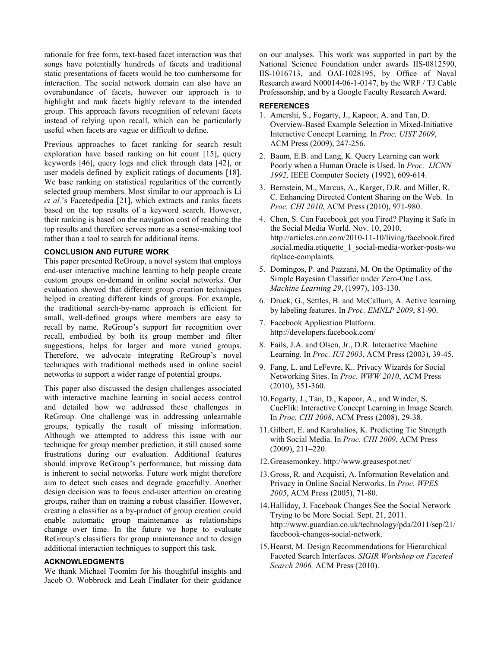rationale for free form, text-based facet interaction was that songs have potentially hundreds of facets and traditional static presentations of facets would be too cumbersome for interaction. The social network domain can also have an overabundance of facets, however our approach is to highlight and rank facets highly relevant to the intended group. This approach favors recognition of relevant facets instead of relying upon recall, which can be particularly useful when facets are vague or difficult to define.

Previous approaches to facet ranking for search result exploration have based ranking on hit count [15], query keywords [46], query logs and click through data [42], or user models defined by explicit ratings of documents [18]. We base ranking on statistical regularities of the currently selected group members. Most similar to our approach is Li *et al.*'s Facetedpedia [21], which extracts and ranks facets based on the top results of a keyword search. However, their ranking is based on the navigation cost of reaching the top results and therefore serves more as a sense-making tool rather than a tool to search for additional items.

## **CONCLUSION AND FUTURE WORK**

This paper presented ReGroup, a novel system that employs end-user interactive machine learning to help people create custom groups on-demand in online social networks. Our evaluation showed that different group creation techniques helped in creating different kinds of groups. For example, the traditional search-by-name approach is efficient for small, well-defined groups where members are easy to recall by name. ReGroup's support for recognition over recall, embodied by both its group member and filter suggestions, helps for larger and more varied groups. Therefore, we advocate integrating ReGroup's novel techniques with traditional methods used in online social networks to support a wider range of potential groups.

This paper also discussed the design challenges associated with interactive machine learning in social access control and detailed how we addressed these challenges in ReGroup. One challenge was in addressing unlearnable groups, typically the result of missing information. Although we attempted to address this issue with our technique for group member prediction, it still caused some frustrations during our evaluation. Additional features should improve ReGroup's performance, but missing data is inherent to social networks. Future work might therefore aim to detect such cases and degrade gracefully. Another design decision was to focus end-user attention on creating groups, rather than on training a robust classifier. However, creating a classifier as a by-product of group creation could enable automatic group maintenance as relationships change over time. In the future we hope to evaluate ReGroup's classifiers for group maintenance and to design additional interaction techniques to support this task.

## **ACKNOWLEDGMENTS**

We thank Michael Toomim for his thoughtful insights and Jacob O. Wobbrock and Leah Findlater for their guidance

on our analyses. This work was supported in part by the National Science Foundation under awards IIS-0812590, IIS-1016713, and OAI-1028195, by Office of Naval Research award N00014-06-1-0147, by the WRF / TJ Cable Professorship, and by a Google Faculty Research Award.

#### **REFERENCES**

- 1. Amershi, S., Fogarty, J., Kapoor, A. and Tan, D. Overview-Based Example Selection in Mixed-Initiative Interactive Concept Learning. In *Proc. UIST 2009*, ACM Press (2009), 247-256.
- 2. Baum, E.B. and Lang, K. Query Learning can work Poorly when a Human Oracle is Used. In *Proc. IJCNN 1992,* IEEE Computer Society (1992), 609-614.
- 3. Bernstein, M., Marcus, A., Karger, D.R. and Miller, R. C. Enhancing Directed Content Sharing on the Web. In *Proc. CHI 2010*, ACM Press (2010), 971-980.
- 4. Chen, S. Can Facebook get you Fired? Playing it Safe in the Social Media World. Nov. 10, 2010. http://articles.cnn.com/2010-11-10/living/facebook.fired .social.media.etiquette\_1\_social-media-worker-posts-wo rkplace-complaints.
- 5. Domingos, P. and Pazzani, M. On the Optimality of the Simple Bayesian Classifier under Zero-One Loss. *Machine Learning 29*, (1997), 103-130.
- 6. Druck, G., Settles, B. and McCallum, A. Active learning by labeling features. In *Proc. EMNLP 2009*, 81-90.
- 7. Facebook Application Platform. http://developers.facebook.com/
- 8. Fails, J.A. and Olsen, Jr., D.R. Interactive Machine Learning. In *Proc. IUI 2003*, ACM Press (2003), 39-45.
- 9. Fang, L. and LeFevre, K.. Privacy Wizards for Social Networking Sites. In *Proc. WWW 2010*, ACM Press (2010), 351-360.
- 10.Fogarty, J., Tan, D., Kapoor, A., and Winder, S. CueFlik: Interactive Concept Learning in Image Search. In *Proc. CHI 2008*, ACM Press (2008), 29-38.
- 11.Gilbert, E. and Karahalios, K. Predicting Tie Strength with Social Media. In *Proc. CHI 2009*, ACM Press (2009), 211–220.
- 12.Greasemonkey. http://www.greasespot.net/
- 13.Gross, R. and Acquisti, A. Information Revelation and Privacy in Online Social Networks. In *Proc. WPES 2005*, ACM Press (2005), 71-80.
- 14.Halliday, J. Facebook Changes See the Social Network Trying to be More Social. Sept. 21, 2011. http://www.guardian.co.uk/technology/pda/2011/sep/21/ facebook-changes-social-network.
- 15.Hearst, M. Design Recommendations for Hierarchical Faceted Search Interfaces. *SIGIR Workshop on Faceted Search 2006,* ACM Press (2010).